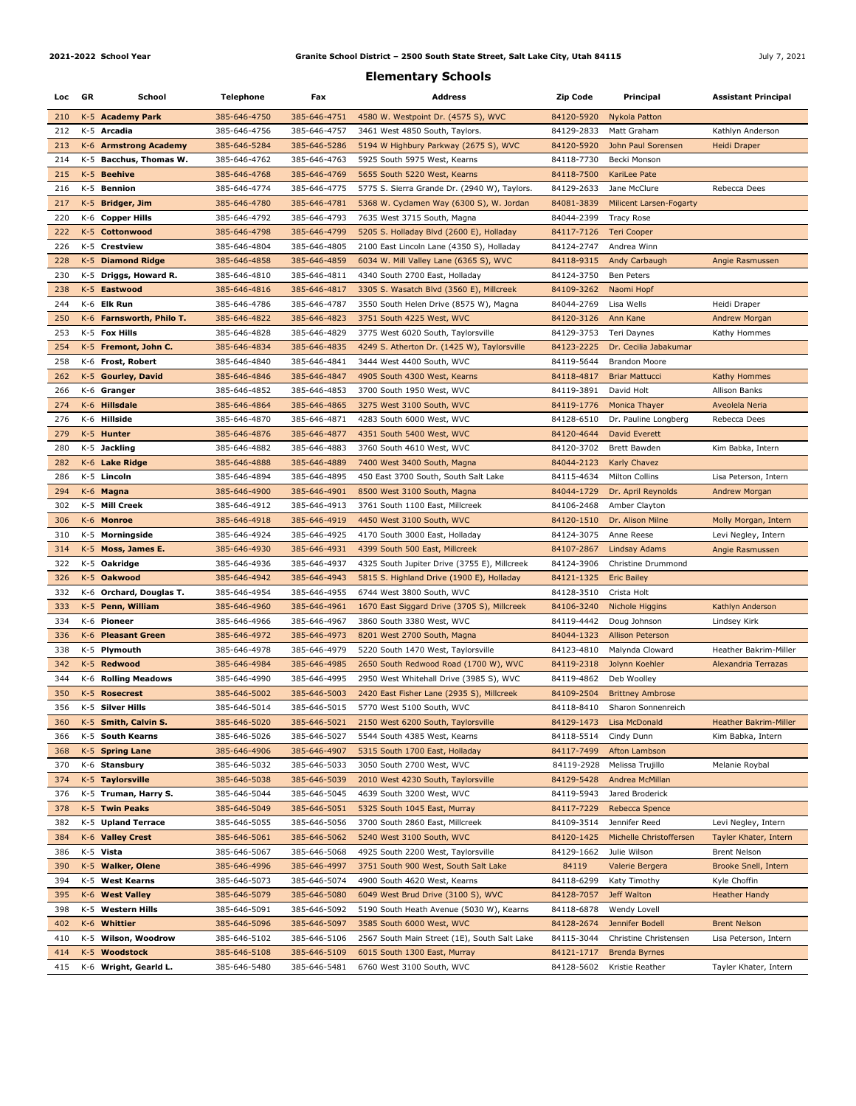## **2021-2022 School Year** July 7, 2021 **Granite School District – 2500 South State Street, Salt Lake City, Utah 84115**

## **Elementary Schools**

| Loc GR     |       | School                        | <b>Telephone</b>             | Fax                          | <b>Address</b>                                                  | <b>Zip Code</b>          | Principal                           | <b>Assistant Principal</b>           |
|------------|-------|-------------------------------|------------------------------|------------------------------|-----------------------------------------------------------------|--------------------------|-------------------------------------|--------------------------------------|
| 210        |       | K-5 Academy Park              | 385-646-4750                 | 385-646-4751                 | 4580 W. Westpoint Dr. (4575 S), WVC                             | 84120-5920               | Nykola Patton                       |                                      |
| 212        |       | K-5 Arcadia                   | 385-646-4756                 | 385-646-4757                 | 3461 West 4850 South, Taylors.                                  | 84129-2833               | Matt Graham                         | Kathlyn Anderson                     |
| 213        |       | K-6 Armstrong Academy         | 385-646-5284                 | 385-646-5286                 | 5194 W Highbury Parkway (2675 S), WVC                           | 84120-5920               | John Paul Sorensen                  | Heidi Draper                         |
| 214        |       | K-5 Bacchus, Thomas W.        | 385-646-4762                 | 385-646-4763                 | 5925 South 5975 West, Kearns                                    | 84118-7730               | Becki Monson                        |                                      |
| 215        |       | K-5 Beehive                   | 385-646-4768                 | 385-646-4769                 | 5655 South 5220 West, Kearns                                    | 84118-7500               | KariLee Pate                        |                                      |
| 216        |       | K-5 Bennion                   | 385-646-4774                 | 385-646-4775                 | 5775 S. Sierra Grande Dr. (2940 W), Taylors.                    | 84129-2633               | Jane McClure                        | Rebecca Dees                         |
| 217        |       | K-5 Bridger, Jim              | 385-646-4780                 | 385-646-4781                 | 5368 W. Cyclamen Way (6300 S), W. Jordan                        | 84081-3839               | Milicent Larsen-Fogarty             |                                      |
| 220        |       | K-6 Copper Hills              | 385-646-4792                 | 385-646-4793                 | 7635 West 3715 South, Magna                                     | 84044-2399               | Tracy Rose                          |                                      |
| 222        |       | K-5 Cottonwood                | 385-646-4798                 | 385-646-4799                 | 5205 S. Holladay Blvd (2600 E), Holladay                        | 84117-7126               | Teri Cooper                         |                                      |
| 226        |       | K-5 Crestview                 | 385-646-4804                 | 385-646-4805                 | 2100 East Lincoln Lane (4350 S), Holladay                       | 84124-2747               | Andrea Winn                         |                                      |
| 228        |       | K-5 Diamond Ridge             | 385-646-4858                 | 385-646-4859                 | 6034 W. Mill Valley Lane (6365 S), WVC                          | 84118-9315               | Andy Carbaugh                       | Angie Rasmussen                      |
| 230        |       | K-5 Driggs, Howard R.         | 385-646-4810                 | 385-646-4811                 | 4340 South 2700 East, Holladay                                  | 84124-3750               | Ben Peters                          |                                      |
| 238        |       | K-5 Eastwood                  | 385-646-4816                 | 385-646-4817                 | 3305 S. Wasatch Blvd (3560 E), Millcreek                        | 84109-3262               | Naomi Hopf                          |                                      |
| 244        |       | K-6 Elk Run                   | 385-646-4786                 | 385-646-4787                 | 3550 South Helen Drive (8575 W), Magna                          | 84044-2769               | Lisa Wells                          | Heidi Draper                         |
| 250        |       | K-6 Farnsworth, Philo T.      | 385-646-4822                 | 385-646-4823                 | 3751 South 4225 West, WVC                                       | 84120-3126               | Ann Kane                            | Andrew Morgan                        |
| 253        |       | K-5 Fox Hills                 | 385-646-4828                 | 385-646-4829                 | 3775 West 6020 South, Taylorsville                              | 84129-3753               | Teri Daynes                         | Kathy Hommes                         |
| 254        |       | K-5 Fremont, John C.          | 385-646-4834                 | 385-646-4835                 | 4249 S. Atherton Dr. (1425 W), Taylorsville                     | 84123-2225               | Dr. Cecilia Jabakumar               |                                      |
| 258        |       | K-6 Frost, Robert             | 385-646-4840                 | 385-646-4841                 | 3444 West 4400 South, WVC                                       | 84119-5644               | <b>Brandon Moore</b>                |                                      |
| 262        |       | K-5 Gourley, David            | 385-646-4846                 | 385-646-4847                 | 4905 South 4300 West, Kearns                                    | 84118-4817               | <b>Briar Mattucci</b>               | Kathy Hommes                         |
| 266        |       | K-6 Granger                   | 385-646-4852                 | 385-646-4853                 | 3700 South 1950 West, WVC                                       | 84119-3891               | David Holt                          | <b>Allison Banks</b>                 |
| 274        |       | K-6 Hillsdale                 | 385-646-4864                 | 385-646-4865                 | 3275 West 3100 South, WVC                                       | 84119-1776               | Monica Thayer                       | Aveolela Neria                       |
| 276        |       | K-6 Hillside                  | 385-646-4870                 | 385-646-4871                 | 4283 South 6000 West, WVC                                       | 84128-6510               | Dr. Pauline Longberg                | Rebecca Dees                         |
| 279        |       | K-5 Hunter                    | 385-646-4876                 | 385-646-4877                 | 4351 South 5400 West, WVC                                       | 84120-4644               | David Everett                       |                                      |
| 280        |       | K-5 Jackling                  | 385-646-4882                 | 385-646-4883                 | 3760 South 4610 West, WVC                                       | 84120-3702               | Brett Bawden                        | Kim Babka, Intern                    |
| 282        |       | K-6 Lake Ridge                | 385-646-4888                 | 385-646-4889                 | 7400 West 3400 South, Magna                                     | 84044-2123               | <b>Karly Chavez</b>                 |                                      |
| 286        |       | K-5 Lincoln                   | 385-646-4894                 | 385-646-4895                 | 450 East 3700 South, South Salt Lake                            | 84115-4634               | <b>Milton Collins</b>               | Lisa Peterson, Intern                |
| 294<br>302 |       | K-6 Magna<br>K-5 Mill Creek   | 385-646-4900<br>385-646-4912 | 385-646-4901<br>385-646-4913 | 8500 West 3100 South, Magna<br>3761 South 1100 East, Millcreek  | 84044-1729<br>84106-2468 | Dr. April Reynolds<br>Amber Clayton | Andrew Morgan                        |
| 306        |       | K-6 Monroe                    | 385-646-4918                 | 385-646-4919                 | 4450 West 3100 South, WVC                                       | 84120-1510               | Dr. Alison Milne                    | Molly Morgan, Intern                 |
| 310        |       | K-5 Morningside               | 385-646-4924                 | 385-646-4925                 | 4170 South 3000 East, Holladay                                  | 84124-3075               | Anne Reese                          | Levi Negley, Intern                  |
| 314        |       | K-5 Moss, James E.            | 385-646-4930                 | 385-646-4931                 | 4399 South 500 East, Millcreek                                  | 84107-2867               | Lindsay Adams                       | Angie Rasmussen                      |
| 322        |       | K-5 Oakridge                  | 385-646-4936                 | 385-646-4937                 | 4325 South Jupiter Drive (3755 E), Millcreek                    | 84124-3906               | Christine Drummond                  |                                      |
| 326        |       | K-5 Oakwood                   | 385-646-4942                 | 385-646-4943                 | 5815 S. Highland Drive (1900 E), Holladay                       | 84121-1325               | <b>Eric Bailey</b>                  |                                      |
| 332        |       | K-6 Orchard, Douglas T.       | 385-646-4954                 | 385-646-4955                 | 6744 West 3800 South, WVC                                       | 84128-3510               | Crista Holt                         |                                      |
| 333        |       | K-5 Penn, William             | 385-646-4960                 | 385-646-4961                 | 1670 East Siggard Drive (3705 S), Millcreek                     | 84106-3240               | Nichole Higgins                     | Kathlyn Anderson                     |
| 334        |       | K-6 Pioneer                   | 385-646-4966                 | 385-646-4967                 | 3860 South 3380 West, WVC                                       | 84119-4442               | Doug Johnson                        | Lindsey Kirk                         |
| 336        |       | K-6 Pleasant Green            | 385-646-4972                 | 385-646-4973                 | 8201 West 2700 South, Magna                                     | 84044-1323               | <b>Allison Peterson</b>             |                                      |
| 338        |       | K-5 Plymouth                  | 385-646-4978                 | 385-646-4979                 | 5220 South 1470 West, Taylorsville                              | 84123-4810               | Malynda Cloward                     | <b>Heather Bakrim-Miller</b>         |
| 342        |       | K-5 Redwood                   | 385-646-4984                 | 385-646-4985                 | 2650 South Redwood Road (1700 W), WVC                           | 84119-2318               | Jolynn Koehler                      | Alexandria Terrazas                  |
| 344        |       | K-6 Rolling Meadows           | 385-646-4990                 | 385-646-4995                 | 2950 West Whitehall Drive (3985 S), WVC                         | 84119-4862               | Deb Woolley                         |                                      |
| 350        |       | K-5 Rosecrest                 | 385-646-5002                 | 385-646-5003                 | 2420 East Fisher Lane (2935 S), Millcreek                       | 84109-2504               | <b>Brittney Ambrose</b>             |                                      |
| 356        |       | K-5 Silver Hills              | 385-646-5014                 | 385-646-5015                 | 5770 West 5100 South, WVC                                       | 84118-8410               | Sharon Sonnenreich                  |                                      |
| 360        |       | K-5 Smith, Calvin S.          | 385-646-5020                 | 385-646-5021                 | 2150 West 6200 South, Taylorsville                              | 84129-1473               | Lisa McDonald                       | Heather Bakrim-Miller                |
| 366        | K-5   | <b>South Kearns</b>           | 385-646-5026                 | 385-646-5027                 | 5544 South 4385 West, Kearns                                    | 84118-5514               | Cindy Dunn                          | Kim Babka, Intern                    |
| 368        | $K-5$ | <b>Spring Lane</b>            | 385-646-4906                 | 385-646-4907                 | 5315 South 1700 East, Holladay                                  | 84117-7499               | Afton Lambson                       |                                      |
| 370        |       | K-6 Stansbury                 | 385-646-5032                 | 385-646-5033                 | 3050 South 2700 West, WVC                                       | 84119-2928               | Melissa Trujillo                    | Melanie Roybal                       |
| 374        |       | K-5 Taylorsville              | 385-646-5038                 | 385-646-5039                 | 2010 West 4230 South, Taylorsville                              | 84129-5428               | Andrea McMillan                     |                                      |
| 376        |       | K-5 Truman, Harry S.          | 385-646-5044                 | 385-646-5045                 | 4639 South 3200 West, WVC                                       | 84119-5943               | Jared Broderick                     |                                      |
| 378        |       | K-5 Twin Peaks                | 385-646-5049                 | 385-646-5051                 | 5325 South 1045 East, Murray                                    | 84117-7229               | Rebecca Spence                      |                                      |
| 382        |       | K-5 Upland Terrace            | 385-646-5055                 | 385-646-5056                 | 3700 South 2860 East, Millcreek                                 | 84109-3514               | Jennifer Reed                       | Levi Negley, Intern                  |
| 384        |       | K-6 Valley Crest<br>K-5 Vista | 385-646-5061                 | 385-646-5062                 | 5240 West 3100 South, WVC<br>4925 South 2200 West, Taylorsville | 84120-1425               | Michelle Christoffersen             | Tayler Khater, Intern                |
| 386<br>390 |       | K-5 Walker, Olene             | 385-646-5067<br>385-646-4996 | 385-646-5068<br>385-646-4997 | 3751 South 900 West, South Salt Lake                            | 84129-1662<br>84119      | Julie Wilson<br>Valerie Bergera     | Brent Nelson<br>Brooke Snell, Intern |
| 394        | K-5   | <b>West Kearns</b>            | 385-646-5073                 | 385-646-5074                 | 4900 South 4620 West, Kearns                                    | 84118-6299               | Katy Timothy                        | Kyle Choffin                         |
| 395        |       | K-6 West Valley               | 385-646-5079                 | 385-646-5080                 | 6049 West Brud Drive (3100 S), WVC                              | 84128-7057               | Jeff Walton                         | <b>Heather Handy</b>                 |
| 398        | K-5   | <b>Western Hills</b>          | 385-646-5091                 | 385-646-5092                 | 5190 South Heath Avenue (5030 W), Kearns                        | 84118-6878               | Wendy Lovell                        |                                      |
| 402        |       | K-6 Whittier                  | 385-646-5096                 | 385-646-5097                 | 3585 South 6000 West, WVC                                       | 84128-2674               | Jennifer Bodell                     | <b>Brent Nelson</b>                  |
| 410        | K-5   | <b>Wilson, Woodrow</b>        | 385-646-5102                 | 385-646-5106                 | 2567 South Main Street (1E), South Salt Lake                    | 84115-3044               | Christine Christensen               | Lisa Peterson, Intern                |
| 414        | $K-5$ | <b>Woodstock</b>              | 385-646-5108                 | 385-646-5109                 | 6015 South 1300 East, Murray                                    | 84121-1717               | Brenda Byrnes                       |                                      |
| 415        |       | K-6 Wright, Gearld L.         | 385-646-5480                 | 385-646-5481                 | 6760 West 3100 South, WVC                                       | 84128-5602               | Kristie Reather                     | Tayler Khater, Intern                |